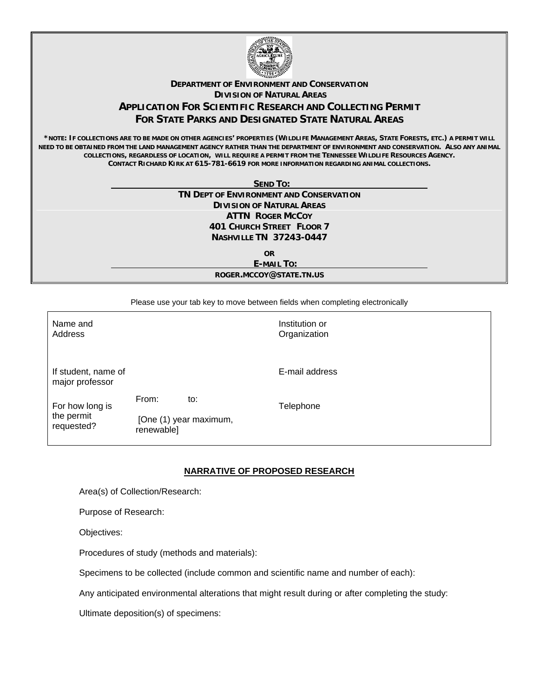

## **DEPARTMENT OF ENVIRONMENT AND CONSERVATION DIVISION OF NATURAL AREAS APPLICATION FOR SCIENTIFIC RESEARCH AND COLLECTING PERMIT FOR STATE PARKS AND DESIGNATED STATE NATURAL AREAS**

**\*NOTE: IF COLLECTIONS ARE TO BE MADE ON OTHER AGENCIES' PROPERTIES (WILDLIFE MANAGEMENT AREAS, STATE FORESTS, ETC.) A PERMIT WILL NEED TO BE OBTAINED FROM THE LAND MANAGEMENT AGENCY RATHER THAN THE DEPARTMENT OF ENVIRONMENT AND CONSERVATION. ALSO ANY ANIMAL COLLECTIONS, REGARDLESS OF LOCATION, WILL REQUIRE A PERMIT FROM THE TENNESSEE WILDLIFE RESOURCES AGENCY. CONTACT RICHARD KIRK AT 615-781-6619 FOR MORE INFORMATION REGARDING ANIMAL COLLECTIONS.**

 **SEND TO:** 

**TN DEPT OF ENVIRONMENT AND CONSERVATION DIVISION OF NATURAL AREAS ATTN ROGER MCCOY 401 CHURCH STREET FLOOR 7 NASHVILLE TN 37243-0447** 

> **OR E-MAIL TO: ROGER.MCCOY@STATE.TN.US**

Please use your tab key to move between fields when completing electronically

| Name and<br>Address                         |                                      |     | Institution or<br>Organization |
|---------------------------------------------|--------------------------------------|-----|--------------------------------|
| If student, name of<br>major professor      |                                      |     | E-mail address                 |
| For how long is<br>the permit<br>requested? | From:                                | to: | Telephone                      |
|                                             | [One (1) year maximum,<br>renewable] |     |                                |

## **NARRATIVE OF PROPOSED RESEARCH**

Area(s) of Collection/Research:

Purpose of Research:

Objectives:

Procedures of study (methods and materials):

Specimens to be collected (include common and scientific name and number of each):

Any anticipated environmental alterations that might result during or after completing the study:

Ultimate deposition(s) of specimens: